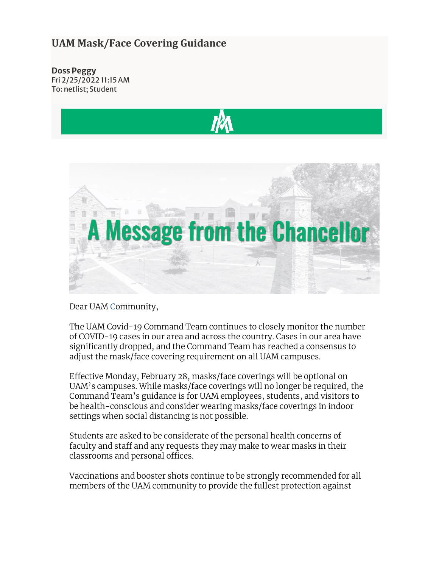## **UAM Mask/Face Covering Guidance**

**Doss Peggy** Fri 2/25/2022 11:15 AM To: netlist; Student





Dear UAM Community,

The UAM Covid-19 Command Team continues to closely monitor the number of COVID-19 cases in our area and across the country. Cases in our area have significantly dropped, and the Command Team has reached a consensus to adjust the mask/face covering requirement on all UAM campuses.

Effective Monday, February 28, masks/face coverings will be optional on UAM's campuses. While masks/face coverings will no longer be required, the Command Team's guidance is for UAM employees, students, and visitors to be health-conscious and consider wearing masks/face coverings in indoor settings when social distancing is not possible.

Students are asked to be considerate of the personal health concerns of faculty and staff and any requests they may make to wear masks in their classrooms and personal offices.

Vaccinations and booster shots continue to be strongly recommended for all members of the UAM community to provide the fullest protection against